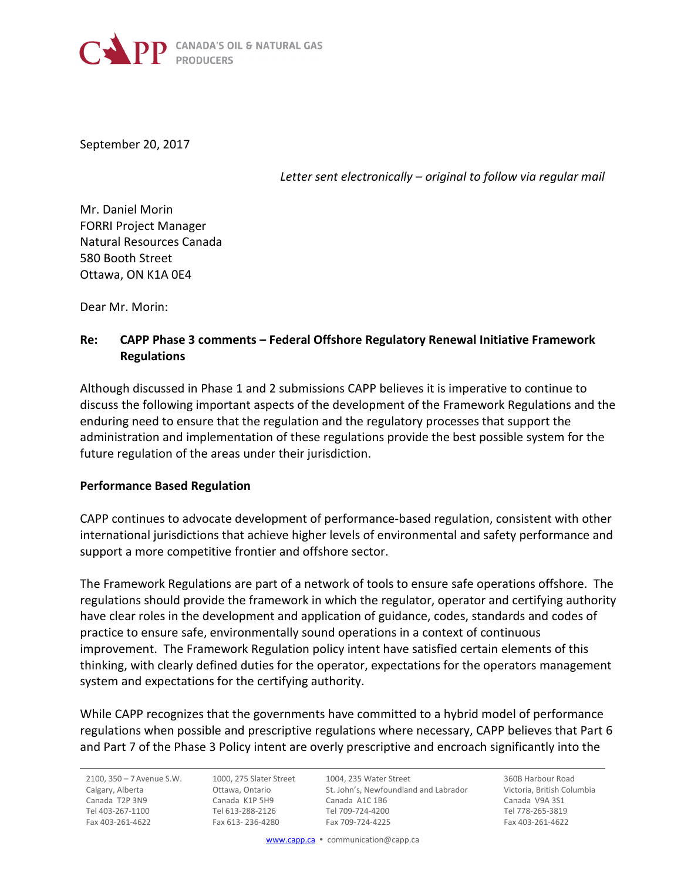

September 20, 2017

*Letter sent electronically – original to follow via regular mail* 

Mr. Daniel Morin FORRI Project Manager Natural Resources Canada 580 Booth Street Ottawa, ON K1A 0E4

Dear Mr. Morin:

## **Re: CAPP Phase 3 comments – Federal Offshore Regulatory Renewal Initiative Framework Regulations**

Although discussed in Phase 1 and 2 submissions CAPP believes it is imperative to continue to discuss the following important aspects of the development of the Framework Regulations and the enduring need to ensure that the regulation and the regulatory processes that support the administration and implementation of these regulations provide the best possible system for the future regulation of the areas under their jurisdiction.

#### **Performance Based Regulation**

CAPP continues to advocate development of performance-based regulation, consistent with other international jurisdictions that achieve higher levels of environmental and safety performance and support a more competitive frontier and offshore sector.

The Framework Regulations are part of a network of tools to ensure safe operations offshore. The regulations should provide the framework in which the regulator, operator and certifying authority have clear roles in the development and application of guidance, codes, standards and codes of practice to ensure safe, environmentally sound operations in a context of continuous improvement. The Framework Regulation policy intent have satisfied certain elements of this thinking, with clearly defined duties for the operator, expectations for the operators management system and expectations for the certifying authority.

While CAPP recognizes that the governments have committed to a hybrid model of performance regulations when possible and prescriptive regulations where necessary, CAPP believes that Part 6 and Part 7 of the Phase 3 Policy intent are overly prescriptive and encroach significantly into the

2100, 350 – 7Avenue S.W. Calgary, Alberta Canada T2P 3N9 Tel 403-267-1100 Fax 403-261-4622

1000, 275 Slater Street Ottawa, Ontario Canada K1P 5H9 Tel 613-288-2126 Fax 613- 236-4280

1004, 235 Water Street St. John's, Newfoundland and Labrador Canada A1C 1B6 Tel 709-724-4200 Fax 709-724-4225

360B Harbour Road Victoria, British Columbia Canada V9A 3S1 Tel 778-265-3819 Fax 403-261-4622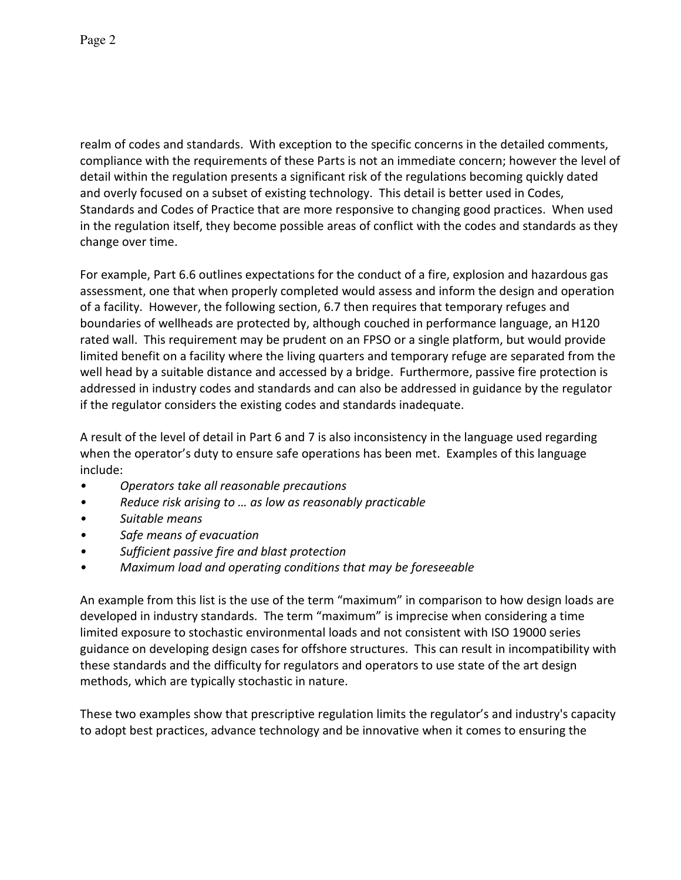realm of codes and standards. With exception to the specific concerns in the detailed comments, compliance with the requirements of these Parts is not an immediate concern; however the level of detail within the regulation presents a significant risk of the regulations becoming quickly dated and overly focused on a subset of existing technology. This detail is better used in Codes, Standards and Codes of Practice that are more responsive to changing good practices. When used in the regulation itself, they become possible areas of conflict with the codes and standards as they change over time.

For example, Part 6.6 outlines expectations for the conduct of a fire, explosion and hazardous gas assessment, one that when properly completed would assess and inform the design and operation of a facility. However, the following section, 6.7 then requires that temporary refuges and boundaries of wellheads are protected by, although couched in performance language, an H120 rated wall. This requirement may be prudent on an FPSO or a single platform, but would provide limited benefit on a facility where the living quarters and temporary refuge are separated from the well head by a suitable distance and accessed by a bridge. Furthermore, passive fire protection is addressed in industry codes and standards and can also be addressed in guidance by the regulator if the regulator considers the existing codes and standards inadequate.

A result of the level of detail in Part 6 and 7 is also inconsistency in the language used regarding when the operator's duty to ensure safe operations has been met. Examples of this language include:

- *Operators take all reasonable precautions*
- *Reduce risk arising to … as low as reasonably practicable*
- *Suitable means*
- *Safe means of evacuation*
- *Sufficient passive fire and blast protection*
- *Maximum load and operating conditions that may be foreseeable*

An example from this list is the use of the term "maximum" in comparison to how design loads are developed in industry standards. The term "maximum" is imprecise when considering a time limited exposure to stochastic environmental loads and not consistent with ISO 19000 series guidance on developing design cases for offshore structures. This can result in incompatibility with these standards and the difficulty for regulators and operators to use state of the art design methods, which are typically stochastic in nature.

These two examples show that prescriptive regulation limits the regulator's and industry's capacity to adopt best practices, advance technology and be innovative when it comes to ensuring the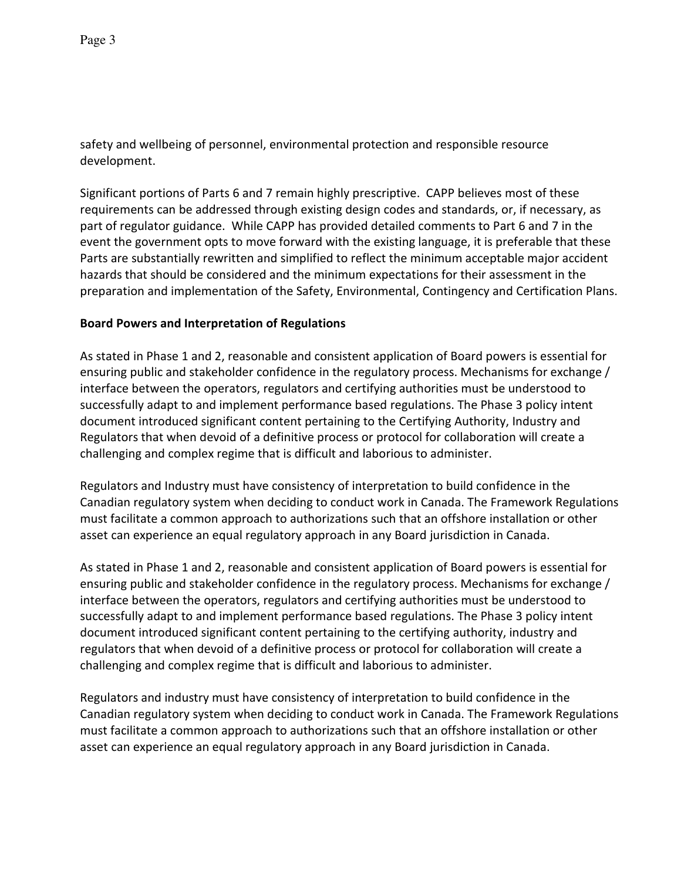safety and wellbeing of personnel, environmental protection and responsible resource development.

Significant portions of Parts 6 and 7 remain highly prescriptive. CAPP believes most of these requirements can be addressed through existing design codes and standards, or, if necessary, as part of regulator guidance. While CAPP has provided detailed comments to Part 6 and 7 in the event the government opts to move forward with the existing language, it is preferable that these Parts are substantially rewritten and simplified to reflect the minimum acceptable major accident hazards that should be considered and the minimum expectations for their assessment in the preparation and implementation of the Safety, Environmental, Contingency and Certification Plans.

### **Board Powers and Interpretation of Regulations**

As stated in Phase 1 and 2, reasonable and consistent application of Board powers is essential for ensuring public and stakeholder confidence in the regulatory process. Mechanisms for exchange / interface between the operators, regulators and certifying authorities must be understood to successfully adapt to and implement performance based regulations. The Phase 3 policy intent document introduced significant content pertaining to the Certifying Authority, Industry and Regulators that when devoid of a definitive process or protocol for collaboration will create a challenging and complex regime that is difficult and laborious to administer.

Regulators and Industry must have consistency of interpretation to build confidence in the Canadian regulatory system when deciding to conduct work in Canada. The Framework Regulations must facilitate a common approach to authorizations such that an offshore installation or other asset can experience an equal regulatory approach in any Board jurisdiction in Canada.

As stated in Phase 1 and 2, reasonable and consistent application of Board powers is essential for ensuring public and stakeholder confidence in the regulatory process. Mechanisms for exchange / interface between the operators, regulators and certifying authorities must be understood to successfully adapt to and implement performance based regulations. The Phase 3 policy intent document introduced significant content pertaining to the certifying authority, industry and regulators that when devoid of a definitive process or protocol for collaboration will create a challenging and complex regime that is difficult and laborious to administer.

Regulators and industry must have consistency of interpretation to build confidence in the Canadian regulatory system when deciding to conduct work in Canada. The Framework Regulations must facilitate a common approach to authorizations such that an offshore installation or other asset can experience an equal regulatory approach in any Board jurisdiction in Canada.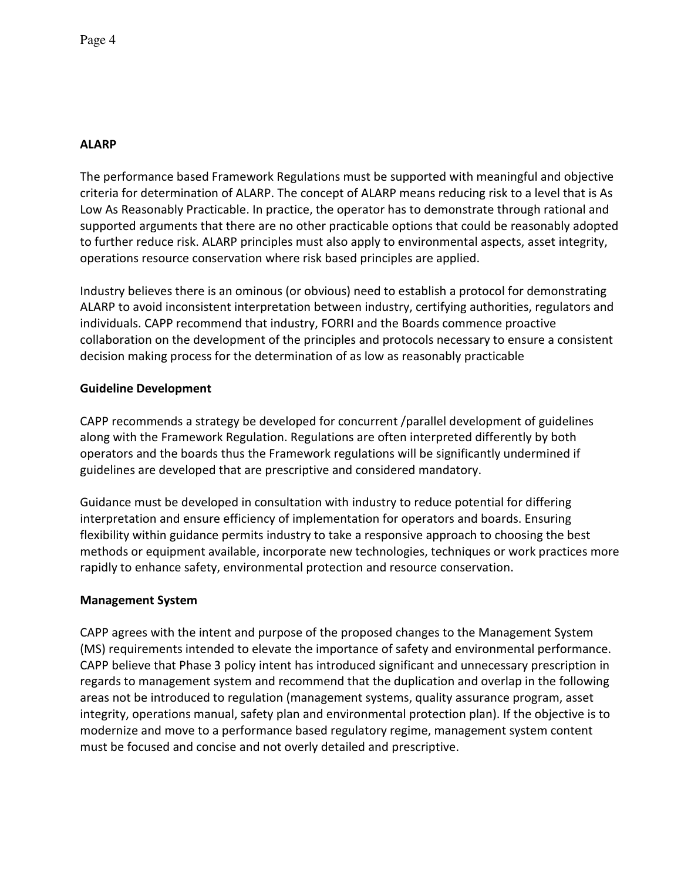# **ALARP**

The performance based Framework Regulations must be supported with meaningful and objective criteria for determination of ALARP. The concept of ALARP means reducing risk to a level that is As Low As Reasonably Practicable. In practice, the operator has to demonstrate through rational and supported arguments that there are no other practicable options that could be reasonably adopted to further reduce risk. ALARP principles must also apply to environmental aspects, asset integrity, operations resource conservation where risk based principles are applied.

Industry believes there is an ominous (or obvious) need to establish a protocol for demonstrating ALARP to avoid inconsistent interpretation between industry, certifying authorities, regulators and individuals. CAPP recommend that industry, FORRI and the Boards commence proactive collaboration on the development of the principles and protocols necessary to ensure a consistent decision making process for the determination of as low as reasonably practicable

## **Guideline Development**

CAPP recommends a strategy be developed for concurrent /parallel development of guidelines along with the Framework Regulation. Regulations are often interpreted differently by both operators and the boards thus the Framework regulations will be significantly undermined if guidelines are developed that are prescriptive and considered mandatory.

Guidance must be developed in consultation with industry to reduce potential for differing interpretation and ensure efficiency of implementation for operators and boards. Ensuring flexibility within guidance permits industry to take a responsive approach to choosing the best methods or equipment available, incorporate new technologies, techniques or work practices more rapidly to enhance safety, environmental protection and resource conservation.

## **Management System**

CAPP agrees with the intent and purpose of the proposed changes to the Management System (MS) requirements intended to elevate the importance of safety and environmental performance. CAPP believe that Phase 3 policy intent has introduced significant and unnecessary prescription in regards to management system and recommend that the duplication and overlap in the following areas not be introduced to regulation (management systems, quality assurance program, asset integrity, operations manual, safety plan and environmental protection plan). If the objective is to modernize and move to a performance based regulatory regime, management system content must be focused and concise and not overly detailed and prescriptive.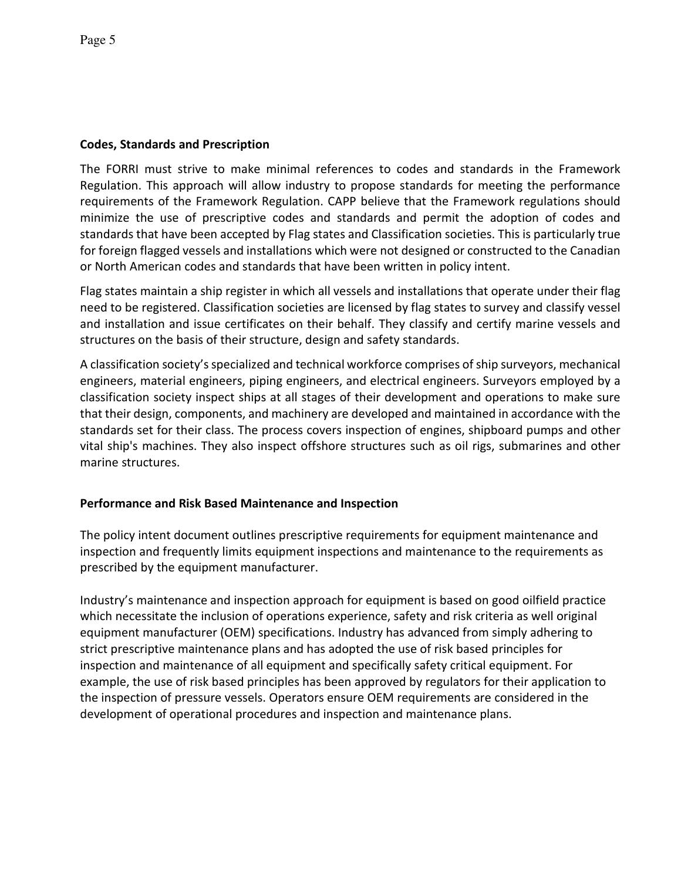### **Codes, Standards and Prescription**

The FORRI must strive to make minimal references to codes and standards in the Framework Regulation. This approach will allow industry to propose standards for meeting the performance requirements of the Framework Regulation. CAPP believe that the Framework regulations should minimize the use of prescriptive codes and standards and permit the adoption of codes and standards that have been accepted by Flag states and Classification societies. This is particularly true for foreign flagged vessels and installations which were not designed or constructed to the Canadian or North American codes and standards that have been written in policy intent.

Flag states maintain a ship register in which all vessels and installations that operate under their flag need to be registered. Classification societies are licensed by flag states to survey and classify vessel and installation and issue certificates on their behalf. They classify and certify marine vessels and structures on the basis of their structure, design and safety standards.

A classification society's specialized and technical workforce comprises of ship surveyors, mechanical engineers, material engineers, piping engineers, and electrical engineers. Surveyors employed by a classification society inspect ships at all stages of their development and operations to make sure that their design, components, and machinery are developed and maintained in accordance with the standards set for their class. The process covers inspection of engines, shipboard pumps and other vital ship's machines. They also inspect offshore structures such as oil rigs, submarines and other marine structures.

## **Performance and Risk Based Maintenance and Inspection**

The policy intent document outlines prescriptive requirements for equipment maintenance and inspection and frequently limits equipment inspections and maintenance to the requirements as prescribed by the equipment manufacturer.

Industry's maintenance and inspection approach for equipment is based on good oilfield practice which necessitate the inclusion of operations experience, safety and risk criteria as well original equipment manufacturer (OEM) specifications. Industry has advanced from simply adhering to strict prescriptive maintenance plans and has adopted the use of risk based principles for inspection and maintenance of all equipment and specifically safety critical equipment. For example, the use of risk based principles has been approved by regulators for their application to the inspection of pressure vessels. Operators ensure OEM requirements are considered in the development of operational procedures and inspection and maintenance plans.